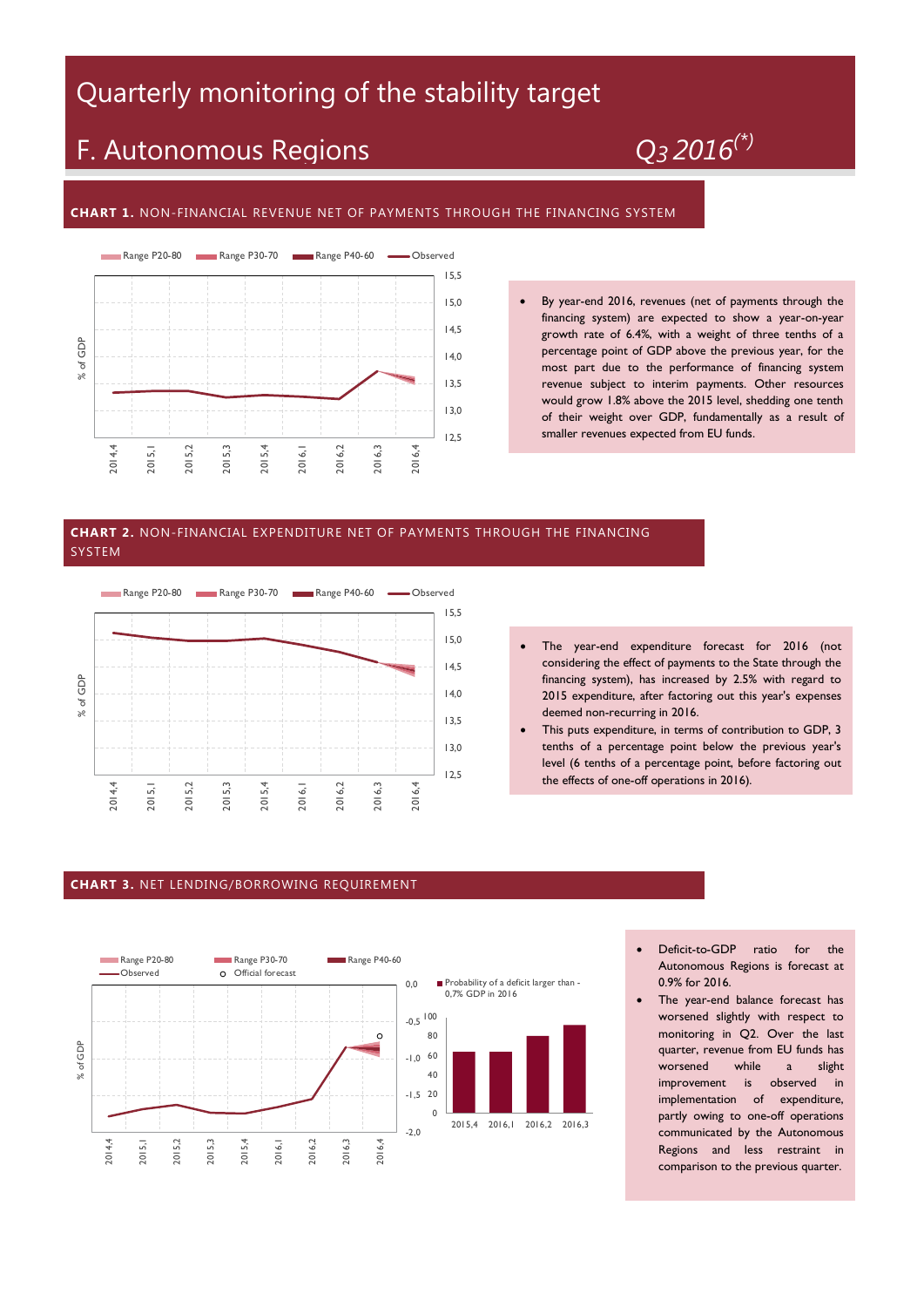## Quarterly monitoring of the stability target

# F. Autonomous Regions *Q<sup>3</sup> 2016(\*)*

#### **CHART 1.** NON-FINANCIAL REVENUE NET OF PAYMENTS THROUGH THE FINANCING SYSTEM



 By year-end 2016, revenues (net of payments through the financing system) are expected to show a year-on-year growth rate of 6.4%, with a weight of three tenths of a percentage point of GDP above the previous year, for the most part due to the performance of financing system revenue subject to interim payments. Other resources would grow 1.8% above the 2015 level, shedding one tenth of their weight over GDP, fundamentally as a result of smaller revenues expected from EU funds.

#### **CHART 2.** NON-FINANCIAL EXPENDITURE NET OF PAYMENTS THROUGH THE FINANCING SYSTEM



- The year-end expenditure forecast for 2016 (not considering the effect of payments to the State through the financing system), has increased by 2.5% with regard to 2015 expenditure, after factoring out this year's expenses deemed non-recurring in 2016.
- This puts expenditure, in terms of contribution to GDP, 3 tenths of a percentage point below the previous year's level (6 tenths of a percentage point, before factoring out the effects of one-off operations in 2016).

#### **CHART 3.** NET LENDING/BORROWING REQUIREMENT



- Deficit-to-GDP ratio for the Autonomous Regions is forecast at 0.9% for 2016.
- The year-end balance forecast has worsened slightly with respect to monitoring in Q2. Over the last quarter, revenue from EU funds has worsened while a slight improvement is observed in implementation of expenditure, partly owing to one-off operations communicated by the Autonomous Regions and less restraint in comparison to the previous quarter.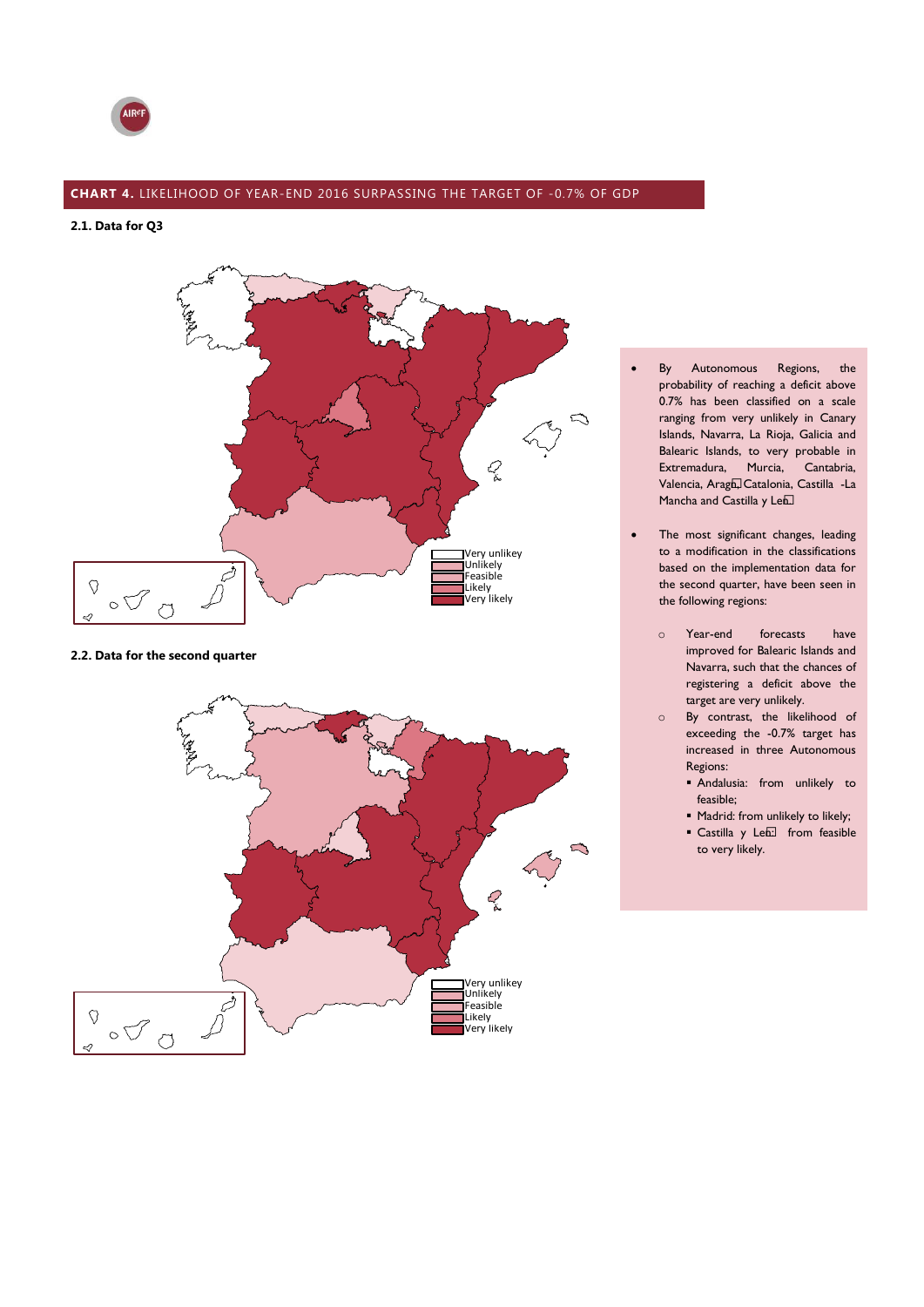

### **CHART 4.** LIKELIHOOD OF YEAR-END 2016 SURPASSING THE TARGET OF -0.7% OF GDP

**2.1. Data for Q3**



### **2.2. Data for the second quarter**



- By Autonomous Regions, the probability of reaching a deficit above 0.7% has been classified on a scale ranging from very unlikely in Canary Islands, Navarra, La Rioja, Galicia and Balearic Islands, to very probable in Extremadura, Murcia, Cantabria, Valencia, Aragó, Catalonia, Castilla -La Mancha and Castilla y Leó.
- The most significant changes, leading to a modification in the classifications based on the implementation data for the second quarter, have been seen in the following regions:
	- o Year-end forecasts have improved for Balearic Islands and Navarra, such that the chances of registering a deficit above the target are very unlikely.
	- o By contrast, the likelihood of exceeding the -0.7% target has increased in three Autonomous Regions:
		- Andalusia: from unlikely to feasible;
		- $\blacksquare$  Madrid: from unlikely to likely;
		- Castilla y Leó: from feasible to very likely.